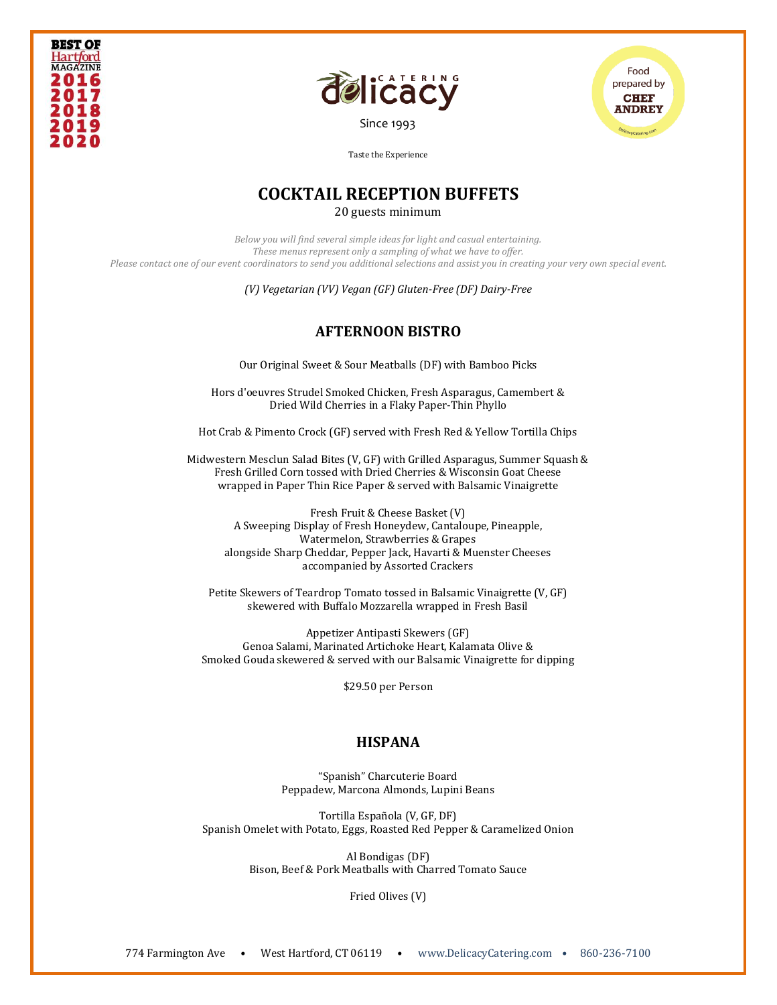





# **COCKTAIL RECEPTION BUFFETS**

20 guests minimum

*Below you will find several simple ideas for light and casual entertaining. These menus represent only a sampling of what we have to offer. Please contact one of our event coordinators to send you additional selections and assist you in creating your very own special event.* 

*(V) Vegetarian (VV) Vegan (GF) Gluten-Free (DF) Dairy-Free*

### **AFTERNOON BISTRO**

Our Original Sweet & Sour Meatballs (DF) with Bamboo Picks

Hors d'oeuvres Strudel Smoked Chicken, Fresh Asparagus, Camembert & Dried Wild Cherries in a Flaky Paper-Thin Phyllo

Hot Crab & Pimento Crock (GF) served with Fresh Red & Yellow Tortilla Chips

Midwestern Mesclun Salad Bites (V, GF) with Grilled Asparagus, Summer Squash & Fresh Grilled Corn tossed with Dried Cherries & Wisconsin Goat Cheese wrapped in Paper Thin Rice Paper & served with Balsamic Vinaigrette

Fresh Fruit & Cheese Basket (V) A Sweeping Display of Fresh Honeydew, Cantaloupe, Pineapple, Watermelon, Strawberries & Grapes alongside Sharp Cheddar, Pepper Jack, Havarti & Muenster Cheeses accompanied by Assorted Crackers

Petite Skewers of Teardrop Tomato tossed in Balsamic Vinaigrette (V, GF) skewered with Buffalo Mozzarella wrapped in Fresh Basil

Appetizer Antipasti Skewers (GF) Genoa Salami, Marinated Artichoke Heart, Kalamata Olive & Smoked Gouda skewered & served with our Balsamic Vinaigrette for dipping

\$29.50 per Person

#### **HISPANA**

"Spanish" Charcuterie Board Peppadew, Marcona Almonds, Lupini Beans

Tortilla Española (V, GF, DF) Spanish Omelet with Potato, Eggs, Roasted Red Pepper & Caramelized Onion

> Al Bondigas (DF) Bison, Beef & Pork Meatballs with Charred Tomato Sauce

> > Fried Olives (V)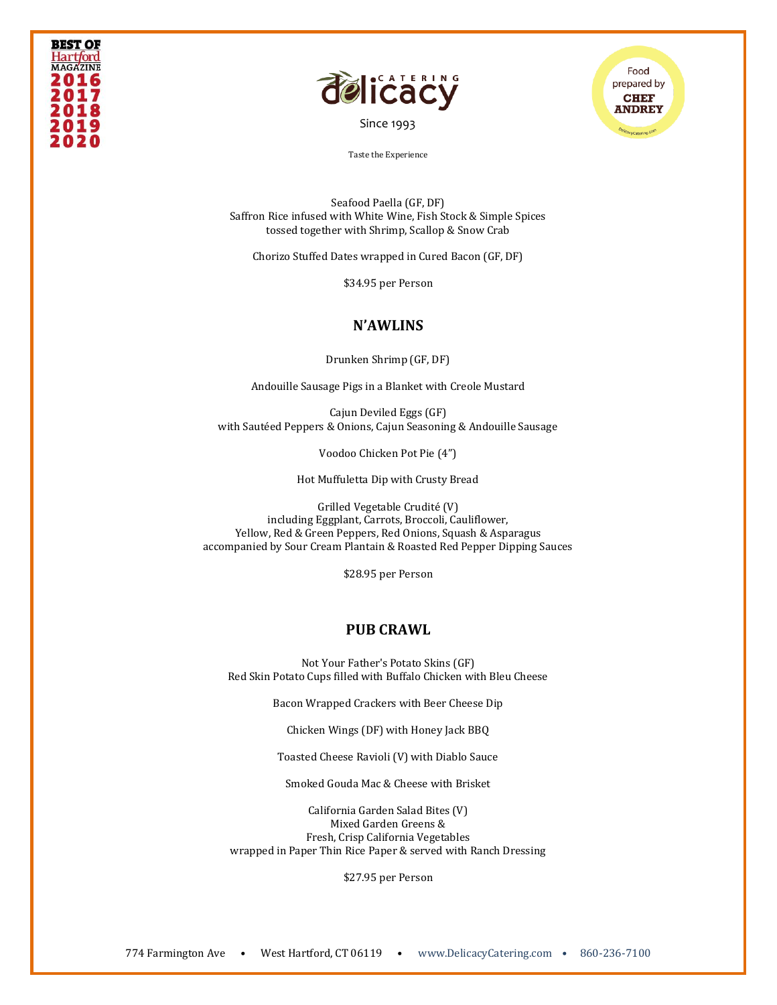



Food prepared by **CHEF ANDREY** 

Taste the Experience

Seafood Paella (GF, DF) Saffron Rice infused with White Wine, Fish Stock & Simple Spices tossed together with Shrimp, Scallop & Snow Crab

Chorizo Stuffed Dates wrapped in Cured Bacon (GF, DF)

\$34.95 per Person

#### **N'AWLINS**

Drunken Shrimp (GF, DF)

Andouille Sausage Pigs in a Blanket with Creole Mustard

Cajun Deviled Eggs (GF) with Sautéed Peppers & Onions, Cajun Seasoning & Andouille Sausage

Voodoo Chicken Pot Pie (4")

Hot Muffuletta Dip with Crusty Bread

Grilled Vegetable Crudité (V) including Eggplant, Carrots, Broccoli, Cauliflower, Yellow, Red & Green Peppers, Red Onions, Squash & Asparagus accompanied by Sour Cream Plantain & Roasted Red Pepper Dipping Sauces

\$28.95 per Person

#### **PUB CRAWL**

Not Your Father's Potato Skins (GF) Red Skin Potato Cups filled with Buffalo Chicken with Bleu Cheese

Bacon Wrapped Crackers with Beer Cheese Dip

Chicken Wings (DF) with Honey Jack BBQ

Toasted Cheese Ravioli (V) with Diablo Sauce

Smoked Gouda Mac & Cheese with Brisket

California Garden Salad Bites (V) Mixed Garden Greens & Fresh, Crisp California Vegetables wrapped in Paper Thin Rice Paper & served with Ranch Dressing

\$27.95 per Person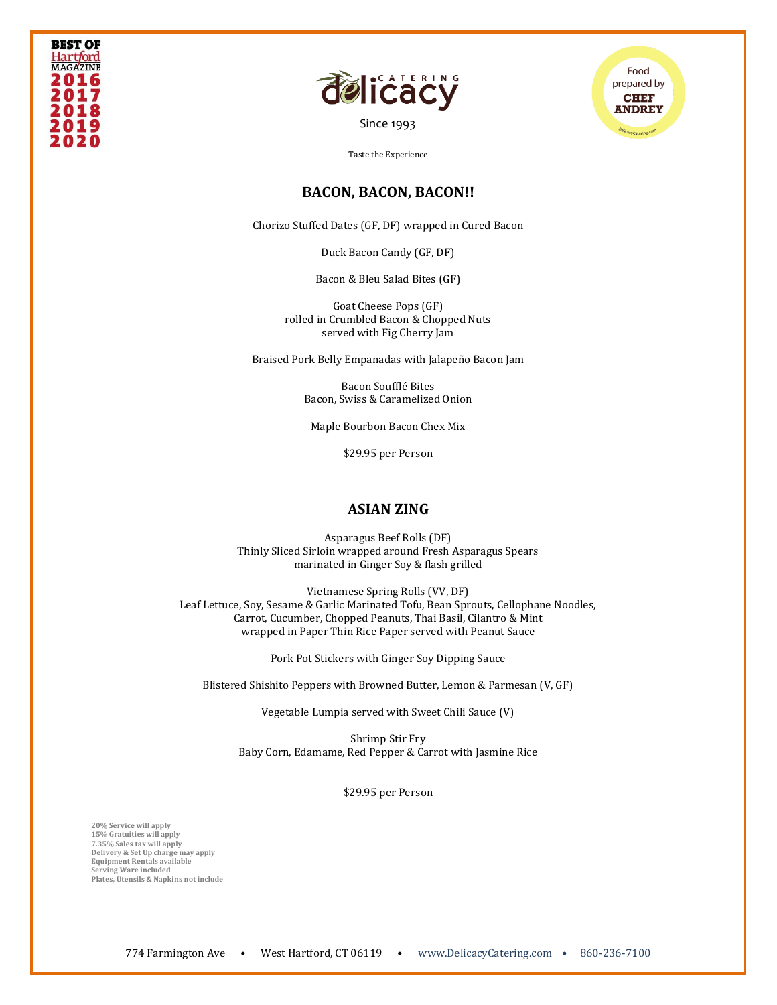



[Since 1993](file:///C:/Users/DelicacyCatering/Dropbox/DELCATERING/1%20Stationary/delicacycatering.com)



Taste the Experience

#### **BACON, BACON, BACON!!**

Chorizo Stuffed Dates (GF, DF) wrapped in Cured Bacon

Duck Bacon Candy (GF, DF)

Bacon & Bleu Salad Bites (GF)

Goat Cheese Pops (GF) rolled in Crumbled Bacon & Chopped Nuts served with Fig Cherry Jam

Braised Pork Belly Empanadas with Jalapeño Bacon Jam

Bacon Soufflé Bites Bacon, Swiss & Caramelized Onion

Maple Bourbon Bacon Chex Mix

\$29.95 per Person

#### **ASIAN ZING**

Asparagus Beef Rolls (DF) Thinly Sliced Sirloin wrapped around Fresh Asparagus Spears marinated in Ginger Soy & flash grilled

Vietnamese Spring Rolls (VV, DF) Leaf Lettuce, Soy, Sesame & Garlic Marinated Tofu, Bean Sprouts, Cellophane Noodles, Carrot, Cucumber, Chopped Peanuts, Thai Basil, Cilantro & Mint wrapped in Paper Thin Rice Paper served with Peanut Sauce

Pork Pot Stickers with Ginger Soy Dipping Sauce

Blistered Shishito Peppers with Browned Butter, Lemon & Parmesan (V, GF)

Vegetable Lumpia served with Sweet Chili Sauce (V)

Shrimp Stir Fry Baby Corn, Edamame, Red Pepper & Carrot with Jasmine Rice

\$29.95 per Person

**20% Service will apply 15% Gratuities will apply 7.35% Sales tax will apply Delivery & Set Up charge may apply Equipment Rentals available Serving Ware included Plates, Utensils & Napkins not include**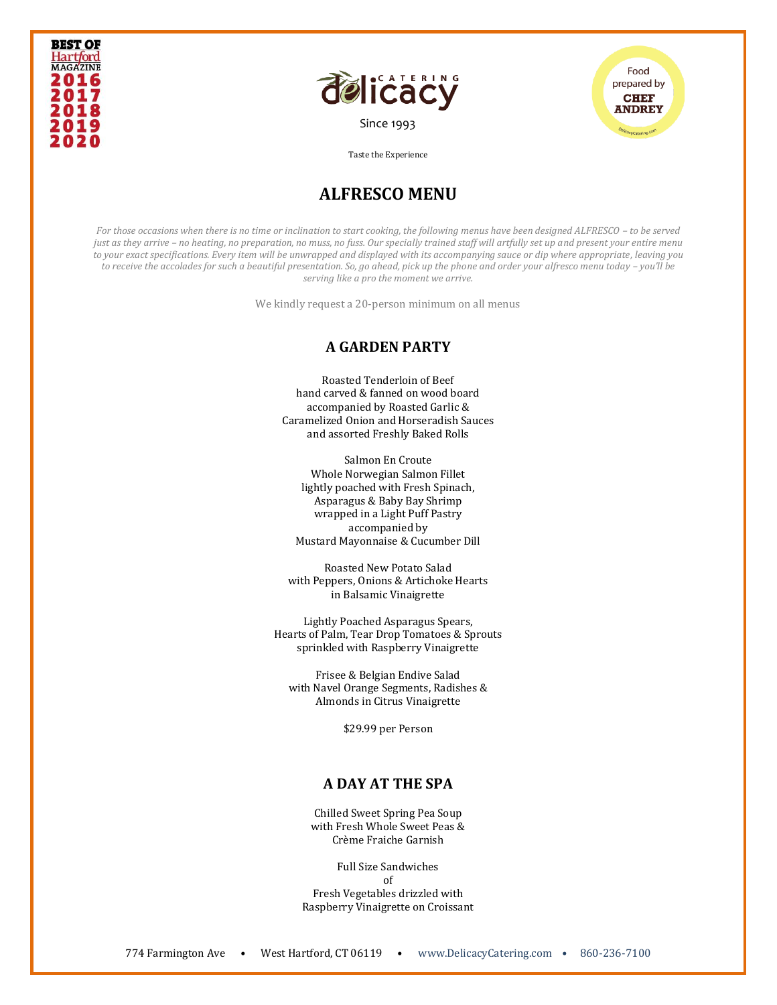





## **ALFRESCO MENU**

*For those occasions when there is no time or inclination to start cooking, the following menus have been designed ALFRESCO – to be served just as they arrive – no heating, no preparation, no muss, no fuss. Our specially trained staff will artfully set up and present your entire menu to your exact specifications. Every item will be unwrapped and displayed with its accompanying sauce or dip where appropriate, leaving you to receive the accolades for such a beautiful presentation. So, go ahead, pick up the phone and order your alfresco menu today - you'll be serving like a pro the moment we arrive.* 

We kindly request a 20-person minimum on all menus

#### **A GARDEN PARTY**

Roasted Tenderloin of Beef hand carved & fanned on wood board accompanied by Roasted Garlic & Caramelized Onion and Horseradish Sauces and assorted Freshly Baked Rolls

Salmon En Croute Whole Norwegian Salmon Fillet lightly poached with Fresh Spinach, Asparagus & Baby Bay Shrimp wrapped in a Light Puff Pastry accompanied by Mustard Mayonnaise & Cucumber Dill

Roasted New Potato Salad with Peppers, Onions & Artichoke Hearts in Balsamic Vinaigrette

Lightly Poached Asparagus Spears, Hearts of Palm, Tear Drop Tomatoes & Sprouts sprinkled with Raspberry Vinaigrette

Frisee & Belgian Endive Salad with Navel Orange Segments, Radishes & Almonds in Citrus Vinaigrette

\$29.99 per Person

## **A DAY AT THE SPA**

Chilled Sweet Spring Pea Soup with Fresh Whole Sweet Peas & Crème Fraiche Garnish

Full Size Sandwiches of Fresh Vegetables drizzled with Raspberry Vinaigrette on Croissant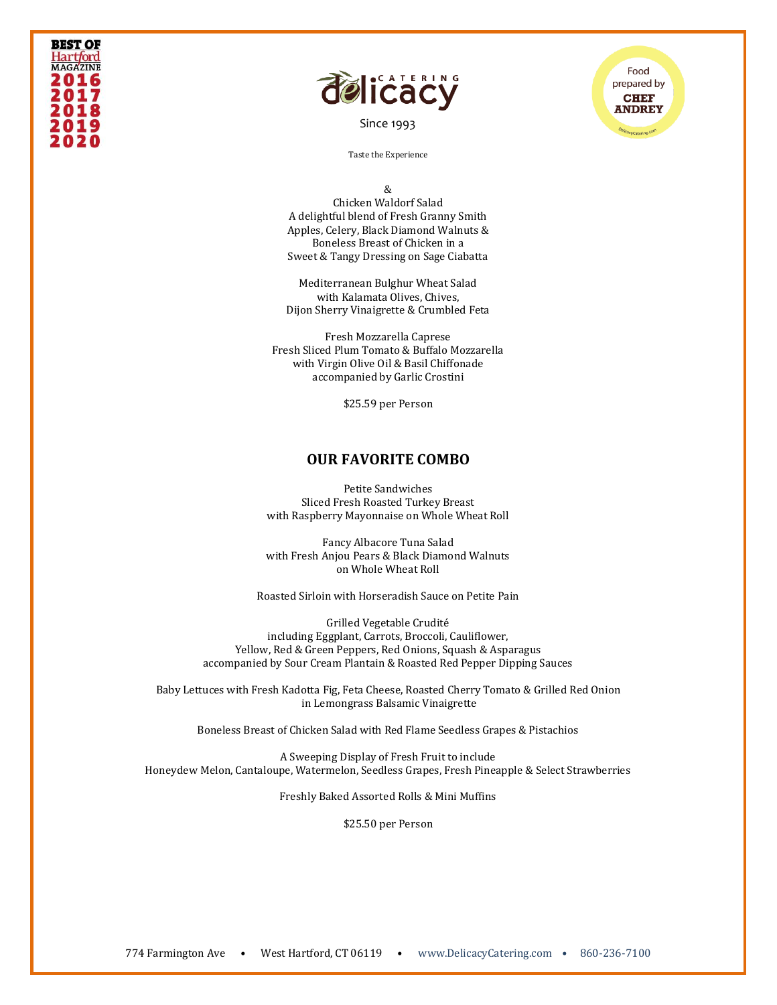## **BEST OF** Hart*f*ord **MAGAZINE** 2016 2017 201 2020



[Since 1993](file:///C:/Users/DelicacyCatering/Dropbox/DELCATERING/1%20Stationary/delicacycatering.com)

Food prepared by **CHEF ANDREY** 

Taste the Experience

&

Chicken Waldorf Salad A delightful blend of Fresh Granny Smith Apples, Celery, Black Diamond Walnuts & Boneless Breast of Chicken in a Sweet & Tangy Dressing on Sage Ciabatta

Mediterranean Bulghur Wheat Salad with Kalamata Olives, Chives, Dijon Sherry Vinaigrette & Crumbled Feta

Fresh Mozzarella Caprese Fresh Sliced Plum Tomato & Buffalo Mozzarella with Virgin Olive Oil & Basil Chiffonade accompanied by Garlic Crostini

\$25.59 per Person

#### **OUR FAVORITE COMBO**

Petite Sandwiches Sliced Fresh Roasted Turkey Breast with Raspberry Mayonnaise on Whole Wheat Roll

Fancy Albacore Tuna Salad with Fresh Anjou Pears & Black Diamond Walnuts on Whole Wheat Roll

Roasted Sirloin with Horseradish Sauce on Petite Pain

Grilled Vegetable Crudité including Eggplant, Carrots, Broccoli, Cauliflower, Yellow, Red & Green Peppers, Red Onions, Squash & Asparagus accompanied by Sour Cream Plantain & Roasted Red Pepper Dipping Sauces

Baby Lettuces with Fresh Kadotta Fig, Feta Cheese, Roasted Cherry Tomato & Grilled Red Onion in Lemongrass Balsamic Vinaigrette

Boneless Breast of Chicken Salad with Red Flame Seedless Grapes & Pistachios

A Sweeping Display of Fresh Fruit to include Honeydew Melon, Cantaloupe, Watermelon, Seedless Grapes, Fresh Pineapple & Select Strawberries

Freshly Baked Assorted Rolls & Mini Muffins

\$25.50 per Person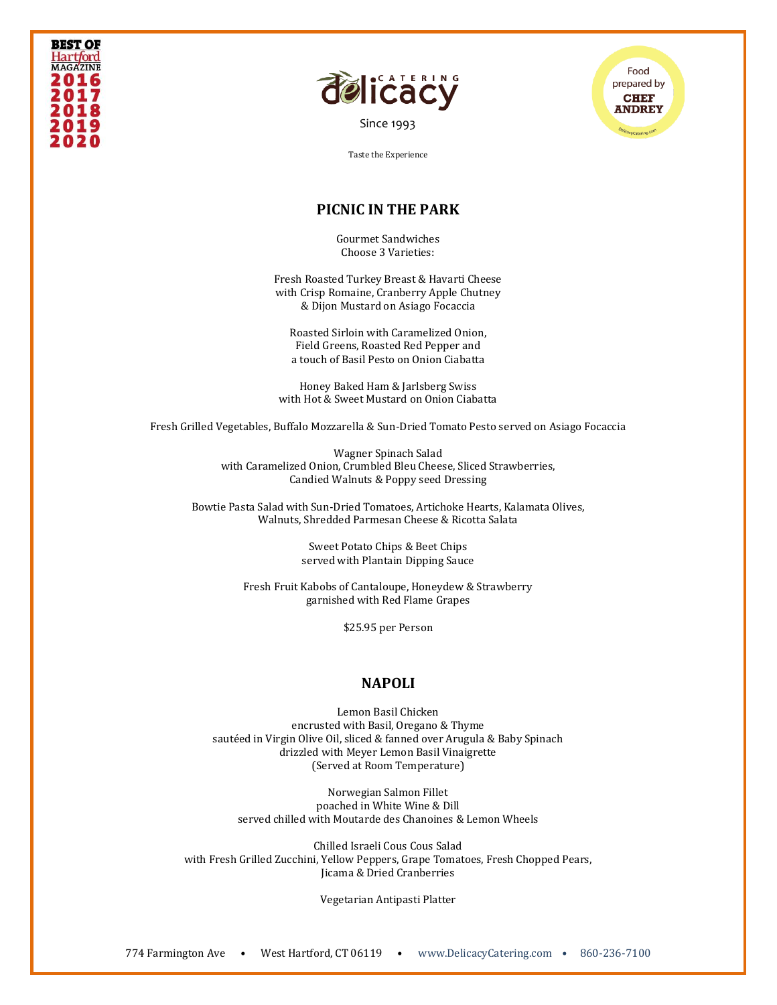





## **PICNIC IN THE PARK**

Gourmet Sandwiches Choose 3 Varieties:

Fresh Roasted Turkey Breast & Havarti Cheese with Crisp Romaine, Cranberry Apple Chutney & Dijon Mustard on Asiago Focaccia

Roasted Sirloin with Caramelized Onion, Field Greens, Roasted Red Pepper and a touch of Basil Pesto on Onion Ciabatta

Honey Baked Ham & Jarlsberg Swiss with Hot & Sweet Mustard on Onion Ciabatta

Fresh Grilled Vegetables, Buffalo Mozzarella & Sun-Dried Tomato Pesto served on Asiago Focaccia

Wagner Spinach Salad with Caramelized Onion, Crumbled Bleu Cheese, Sliced Strawberries, Candied Walnuts & Poppy seed Dressing

Bowtie Pasta Salad with Sun-Dried Tomatoes, Artichoke Hearts, Kalamata Olives, Walnuts, Shredded Parmesan Cheese & Ricotta Salata

> Sweet Potato Chips & Beet Chips served with Plantain Dipping Sauce

Fresh Fruit Kabobs of Cantaloupe, Honeydew & Strawberry garnished with Red Flame Grapes

\$25.95 per Person

#### **NAPOLI**

Lemon Basil Chicken encrusted with Basil, Oregano & Thyme sautéed in Virgin Olive Oil, sliced & fanned over Arugula & Baby Spinach drizzled with Meyer Lemon Basil Vinaigrette (Served at Room Temperature)

Norwegian Salmon Fillet poached in White Wine & Dill served chilled with Moutarde des Chanoines & Lemon Wheels

Chilled Israeli Cous Cous Salad with Fresh Grilled Zucchini, Yellow Peppers, Grape Tomatoes, Fresh Chopped Pears, Jicama & Dried Cranberries

Vegetarian Antipasti Platter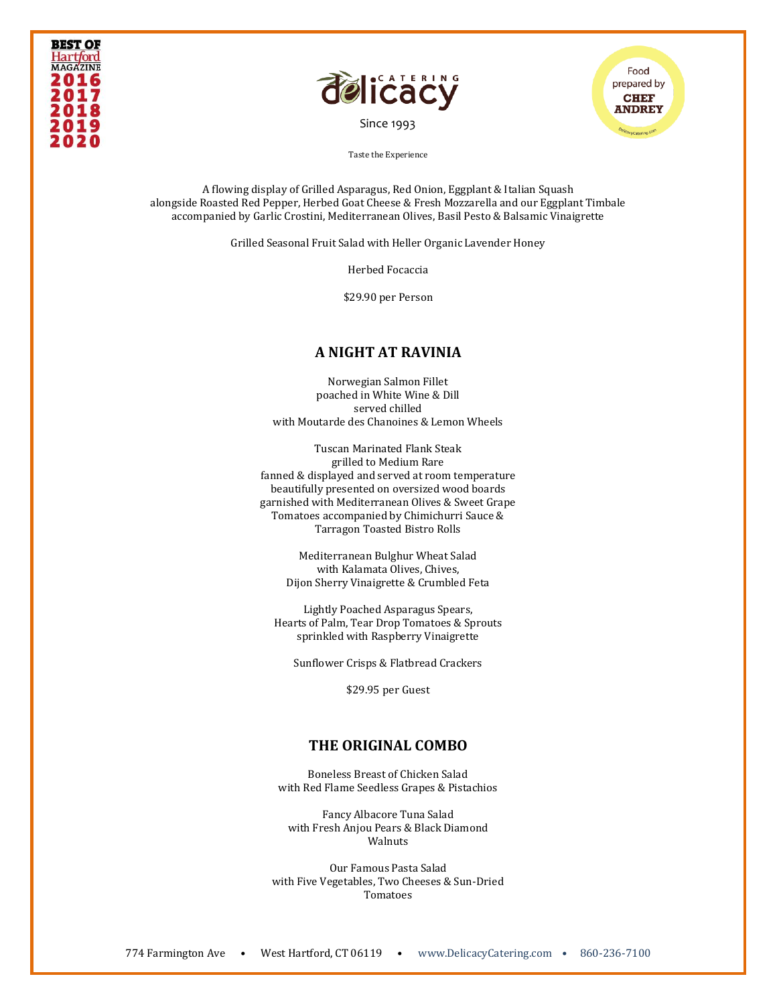





A flowing display of Grilled Asparagus, Red Onion, Eggplant & Italian Squash alongside Roasted Red Pepper, Herbed Goat Cheese & Fresh Mozzarella and our Eggplant Timbale accompanied by Garlic Crostini, Mediterranean Olives, Basil Pesto & Balsamic Vinaigrette

Grilled Seasonal Fruit Salad with Heller Organic Lavender Honey

Herbed Focaccia

\$29.90 per Person

#### **A NIGHT AT RAVINIA**

Norwegian Salmon Fillet poached in White Wine & Dill served chilled with Moutarde des Chanoines & Lemon Wheels

Tuscan Marinated Flank Steak grilled to Medium Rare fanned & displayed and served at room temperature beautifully presented on oversized wood boards garnished with Mediterranean Olives & Sweet Grape Tomatoes accompanied by Chimichurri Sauce & Tarragon Toasted Bistro Rolls

> Mediterranean Bulghur Wheat Salad with Kalamata Olives, Chives, Dijon Sherry Vinaigrette & Crumbled Feta

Lightly Poached Asparagus Spears, Hearts of Palm, Tear Drop Tomatoes & Sprouts sprinkled with Raspberry Vinaigrette

Sunflower Crisps & Flatbread Crackers

\$29.95 per Guest

#### **THE ORIGINAL COMBO**

Boneless Breast of Chicken Salad with Red Flame Seedless Grapes & Pistachios

Fancy Albacore Tuna Salad with Fresh Anjou Pears & Black Diamond Walnuts

Our Famous Pasta Salad with Five Vegetables, Two Cheeses & Sun-Dried Tomatoes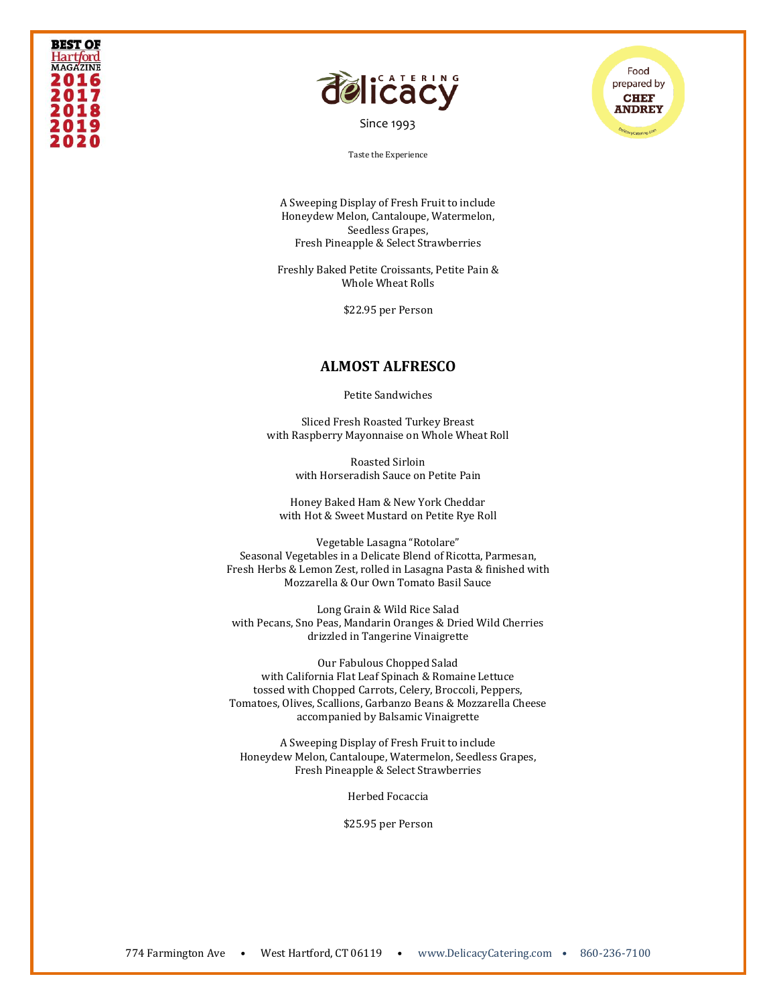## **BEST OF Hartford MAGAZINE** 2016 2017 201 2020



[Since 1993](file:///C:/Users/DelicacyCatering/Dropbox/DELCATERING/1%20Stationary/delicacycatering.com)



Taste the Experience

A Sweeping Display of Fresh Fruit to include Honeydew Melon, Cantaloupe, Watermelon, Seedless Grapes, Fresh Pineapple & Select Strawberries

Freshly Baked Petite Croissants, Petite Pain & Whole Wheat Rolls

\$22.95 per Person

#### **ALMOST ALFRESCO**

Petite Sandwiches

Sliced Fresh Roasted Turkey Breast with Raspberry Mayonnaise on Whole Wheat Roll

> Roasted Sirloin with Horseradish Sauce on Petite Pain

Honey Baked Ham & New York Cheddar with Hot & Sweet Mustard on Petite Rye Roll

Vegetable Lasagna "Rotolare" Seasonal Vegetables in a Delicate Blend of Ricotta, Parmesan, Fresh Herbs & Lemon Zest, rolled in Lasagna Pasta & finished with Mozzarella & Our Own Tomato Basil Sauce

Long Grain & Wild Rice Salad with Pecans, Sno Peas, Mandarin Oranges & Dried Wild Cherries drizzled in Tangerine Vinaigrette

Our Fabulous Chopped Salad with California Flat Leaf Spinach & Romaine Lettuce tossed with Chopped Carrots, Celery, Broccoli, Peppers, Tomatoes, Olives, Scallions, Garbanzo Beans & Mozzarella Cheese accompanied by Balsamic Vinaigrette

A Sweeping Display of Fresh Fruit to include Honeydew Melon, Cantaloupe, Watermelon, Seedless Grapes, Fresh Pineapple & Select Strawberries

Herbed Focaccia

\$25.95 per Person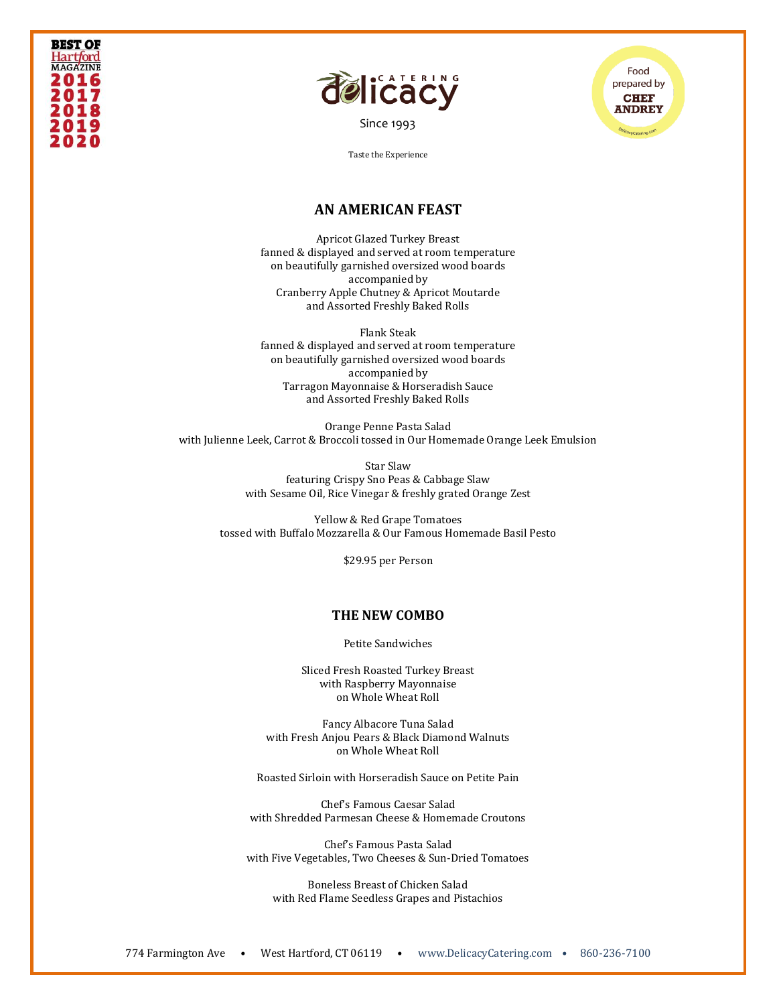





## **AN AMERICAN FEAST**

Apricot Glazed Turkey Breast fanned & displayed and served at room temperature on beautifully garnished oversized wood boards accompanied by Cranberry Apple Chutney & Apricot Moutarde and Assorted Freshly Baked Rolls

Flank Steak fanned & displayed and served at room temperature on beautifully garnished oversized wood boards accompanied by Tarragon Mayonnaise & Horseradish Sauce and Assorted Freshly Baked Rolls

Orange Penne Pasta Salad with Julienne Leek, Carrot & Broccoli tossed in Our Homemade Orange Leek Emulsion

> Star Slaw featuring Crispy Sno Peas & Cabbage Slaw with Sesame Oil, Rice Vinegar & freshly grated Orange Zest

Yellow & Red Grape Tomatoes tossed with Buffalo Mozzarella & Our Famous Homemade Basil Pesto

\$29.95 per Person

#### **THE NEW COMBO**

Petite Sandwiches

Sliced Fresh Roasted Turkey Breast with Raspberry Mayonnaise on Whole Wheat Roll

Fancy Albacore Tuna Salad with Fresh Anjou Pears & Black Diamond Walnuts on Whole Wheat Roll

Roasted Sirloin with Horseradish Sauce on Petite Pain

Chef's Famous Caesar Salad with Shredded Parmesan Cheese & Homemade Croutons

Chef's Famous Pasta Salad with Five Vegetables, Two Cheeses & Sun-Dried Tomatoes

Boneless Breast of Chicken Salad with Red Flame Seedless Grapes and Pistachios